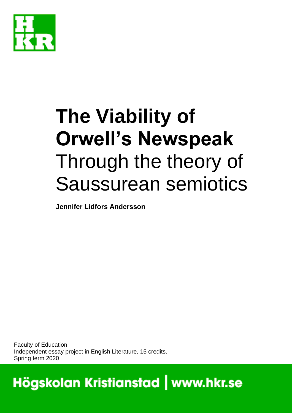

# **The Viability of Orwell's Newspeak** Through the theory of Saussurean semiotics

**Jennifer Lidfors Andersson**

Faculty of Education Independent essay project in English Literature, 15 credits. Spring term 2020

Högskolan Kristianstad | www.hkr.se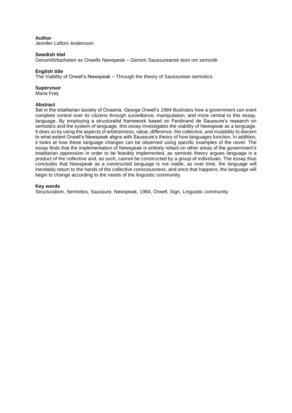#### **Author**

Jennifer Lidfors Andersson

#### **Swedish titel**

Genomförbarheten av Orwells Newspeak – Genom Saussureansk teori om semiotik

#### **English title**

The Viability of Orwell's Newspeak – Through the theory of Saussurean semiotics.

#### **Supervisor**

Maria Freij

#### **Abstract**

Set in the totalitarian society of Oceania, George Orwell's *1984* illustrates how a government can exert complete control over its citizens through surveillance, manipulation, and more central to this essay, language. By employing a structuralist framework based on Ferdinand de Saussure's research on semiotics and the system of language, this essay investigates the viability of Newspeak as a language. It does so by using the aspects of arbitrariness, value, difference, the collective, and mutability to discern to what extent Orwell's Newspeak aligns with Saussure's theory of how languages function. In addition, it looks at how these language changes can be observed using specific examples of the novel. The essay finds that the implementation of Newspeak is entirely reliant on other areas of the government's totalitarian oppression in order to be feasibly implemented, as semiotic theory argues language is a product of the collective and, as such, cannot be constructed by a group of individuals. The essay thus concludes that Newspeak as a constructed language is not viable, as over time, the language will inevitably return to the hands of the collective consciousness, and once that happens, the language will begin to change according to the needs of the linguistic community.

#### **Key words**

Structuralism, Semiotics, Saussure, Newspeak, 1984, Orwell, Sign, Linguistic community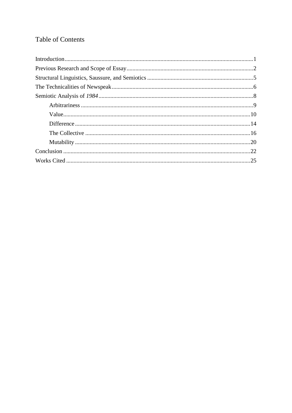# **Table of Contents**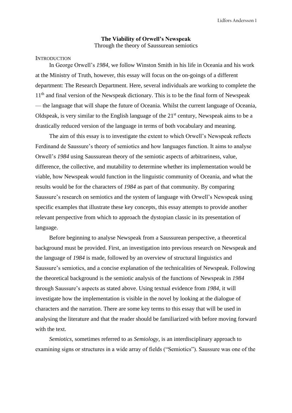# **The Viability of Orwell's Newspeak** Through the theory of Saussurean semiotics

### <span id="page-3-0"></span>**INTRODUCTION**

In George Orwell's *1984*, we follow Winston Smith in his life in Oceania and his work at the Ministry of Truth, however, this essay will focus on the on-goings of a different department: The Research Department. Here, several individuals are working to complete the 11<sup>th</sup> and final version of the Newspeak dictionary. This is to be the final form of Newspeak — the language that will shape the future of Oceania. Whilst the current language of Oceania, Oldspeak, is very similar to the English language of the  $21<sup>st</sup>$  century, Newspeak aims to be a drastically reduced version of the language in terms of both vocabulary and meaning.

The aim of this essay is to investigate the extent to which Orwell's Newspeak reflects Ferdinand de Saussure's theory of semiotics and how languages function. It aims to analyse Orwell's *1984* using Saussurean theory of the semiotic aspects of arbitrariness, value, difference, the collective, and mutability to determine whether its implementation would be viable, how Newspeak would function in the linguistic community of Oceania, and what the results would be for the characters of *1984* as part of that community. By comparing Saussure's research on semiotics and the system of language with Orwell's Newspeak using specific examples that illustrate these key concepts, this essay attempts to provide another relevant perspective from which to approach the dystopian classic in its presentation of language.

Before beginning to analyse Newspeak from a Saussurean perspective, a theoretical background must be provided. First, an investigation into previous research on Newspeak and the language of *1984* is made, followed by an overview of structural linguistics and Saussure's semiotics, and a concise explanation of the technicalities of Newspeak. Following the theoretical background is the semiotic analysis of the functions of Newspeak in *1984* through Saussure's aspects as stated above. Using textual evidence from *1984,* it will investigate how the implementation is visible in the novel by looking at the dialogue of characters and the narration. There are some key terms to this essay that will be used in analysing the literature and that the reader should be familiarized with before moving forward with the text.

*Semiotics,* sometimes referred to as *Semiology,* is an interdisciplinary approach to examining signs or structures in a wide array of fields ("Semiotics"). Saussure was one of the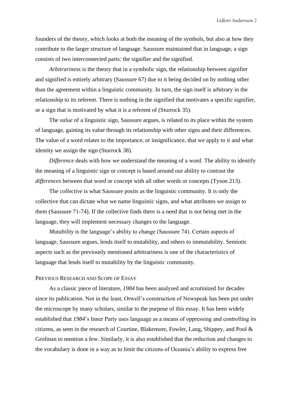founders of the theory, which looks at both the meaning of the symbols, but also at how they contribute to the larger structure of language. Saussure maintained that in language, a sign consists of two interconnected parts: the signifier and the signified.

*Arbitrariness* is the theory that in a symbolic sign, the relationship between signifier and signified is entirely arbitrary (Saussure 67) due to it being decided on by nothing other than the agreement within a linguistic community. In turn, the sign itself is arbitrary in the relationship to its referent. There is nothing in the signified that motivates a specific signifier, or a sign that is motivated by what it is a referent of (Sturrock 35).

The *value* of a linguistic sign, Saussure argues, is related to its place within the system of language, gaining its value through its relationship with other signs and their differences. The value of a word relates to the importance, or insignificance, that we apply to it and what identity we assign the sign (Sturrock 38).

*Difference* deals with how we understand the meaning of a word. The ability to identify the meaning of a linguistic sign or concept is based around our ability to contrast the *differences* between that word or concept with all other words or concepts (Tyson 213).

The *collective* is what Saussure posits as the linguistic community. It is only the collective that can dictate what we name linguistic signs, and what attributes we assign to them (Saussure 71-74). If the collective finds there is a need that is not being met in the language, they will implement necessary changes to the language.

*Mutability* is the language's ability to change (Saussure 74). Certain aspects of language, Saussure argues, lends itself to mutability, and others to immutability. Semiotic aspects such as the previously mentioned arbitrariness is one of the characteristics of language that lends itself to mutability by the linguistic community.

# <span id="page-4-0"></span>PREVIOUS RESEARCH AND SCOPE OF ESSAY

As a classic piece of literature, *1984* has been analysed and scrutinized for decades since its publication. Not in the least, Orwell's construction of Newspeak has been put under the microscope by many scholars, similar to the purpose of this essay. It has been widely established that *1984*'s Inner Party uses language as a means of oppressing and controlling its citizens, as seen in the research of Courtine, Blakemore, Fowler, Lang, Shippey, and Pool & Grofman to mention a few. Similarly, it is also established that the reduction and changes to the vocabulary is done in a way as to limit the citizens of Oceania's ability to express free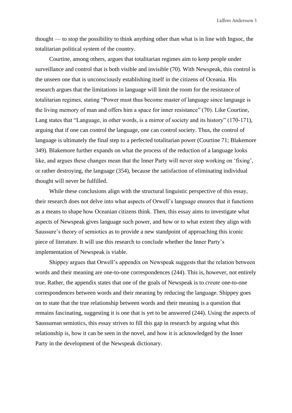thought — to stop the possibility to think anything other than what is in line with Ingsoc, the totalitarian political system of the country.

Courtine, among others, argues that totalitarian regimes aim to keep people under surveillance and control that is both visible and invisible (70). With Newspeak, this control is the unseen one that is unconsciously establishing itself in the citizens of Oceania. His research argues that the limitations in language will limit the room for the resistance of totalitarian regimes, stating "Power must thus become master of language since language is the living memory of man and offers him a space for inner resistance" (70). Like Courtine, Lang states that "Language, in other words, is a mirror of society and its history" (170-171), arguing that if one can control the language, one can control society. Thus, the control of language is ultimately the final step to a perfected totalitarian power (Courtine 71; Blakemore 349). Blakemore further expands on what the process of the reduction of a language looks like, and argues these changes mean that the Inner Party will never stop working on 'fixing', or rather destroying, the language (354), because the satisfaction of eliminating individual thought will never be fulfilled.

While these conclusions align with the structural linguistic perspective of this essay, their research does not delve into what aspects of Orwell's language ensures that it functions as a means to shape how Oceanian citizens think. Then, this essay aims to investigate what aspects of Newspeak gives language such power, and how or to what extent they align with Saussure's theory of semiotics as to provide a new standpoint of approaching this iconic piece of literature. It will use this research to conclude whether the Inner Party's implementation of Newspeak is viable.

Shippey argues that Orwell's appendix on Newspeak suggests that the relation between words and their meaning are one-to-one correspondences (244). This is, however, not entirely true. Rather, the appendix states that one of the goals of Newspeak is to *create* one-to-one correspondences between words and their meaning by reducing the language. Shippey goes on to state that the true relationship between words and their meaning is a question that remains fascinating, suggesting it is one that is yet to be answered (244). Using the aspects of Saussurean semiotics, this essay strives to fill this gap in research by arguing what this relationship is, how it can be seen in the novel, and how it is acknowledged by the Inner Party in the development of the Newspeak dictionary.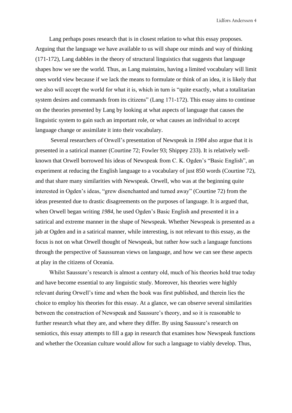Lang perhaps poses research that is in closest relation to what this essay proposes. Arguing that the language we have available to us will shape our minds and way of thinking (171-172), Lang dabbles in the theory of structural linguistics that suggests that language shapes how we see the world. Thus, as Lang maintains, having a limited vocabulary will limit ones world view because if we lack the means to formulate or think of an idea, it is likely that we also will accept the world for what it is, which in turn is "quite exactly, what a totalitarian system desires and commands from its citizens" (Lang 171-172). This essay aims to continue on the theories presented by Lang by looking at what aspects of language that causes the linguistic system to gain such an important role, or what causes an individual to accept language change or assimilate it into their vocabulary.

Several researchers of Orwell's presentation of Newspeak in *1984* also argue that it is presented in a satirical manner (Courtine 72; Fowler 93; Shippey 233). It is relatively wellknown that Orwell borrowed his ideas of Newspeak from C. K. Ogden's "Basic English", an experiment at reducing the English language to a vocabulary of just 850 words (Courtine 72), and that share many similarities with Newspeak. Orwell, who was at the beginning quite interested in Ogden's ideas, "grew disenchanted and turned away" (Courtine 72) from the ideas presented due to drastic disagreements on the purposes of language. It is argued that, when Orwell began writing *1984,* he used Ogden's Basic English and presented it in a satirical and extreme manner in the shape of Newspeak*.* Whether Newspeak is presented as a jab at Ogden and in a satirical manner, while interesting, is not relevant to this essay, as the focus is not on what Orwell thought of Newspeak, but rather *how* such a language functions through the perspective of Saussurean views on language, and how we can see these aspects at play in the citizens of Oceania.

Whilst Saussure's research is almost a century old, much of his theories hold true today and have become essential to any linguistic study. Moreover, his theories were highly relevant during Orwell's time and when the book was first published, and therein lies the choice to employ his theories for this essay. At a glance, we can observe several similarities between the construction of Newspeak and Saussure's theory, and so it is reasonable to further research what they are, and where they differ. By using Saussure's research on semiotics, this essay attempts to fill a gap in research that examines how Newspeak functions and whether the Oceanian culture would allow for such a language to viably develop. Thus,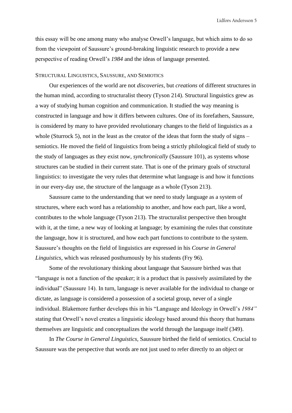this essay will be one among many who analyse Orwell's language, but which aims to do so from the viewpoint of Saussure's ground-breaking linguistic research to provide a new perspective of reading Orwell's *1984* and the ideas of language presented.

# <span id="page-7-0"></span>STRUCTURAL LINGUISTICS, SAUSSURE, AND SEMIOTICS

Our experiences of the world are not *discoveries*, but *creations* of different structures in the human mind, according to structuralist theory (Tyson 214). Structural linguistics grew as a way of studying human cognition and communication. It studied the way meaning is constructed in language and how it differs between cultures. One of its forefathers, Saussure, is considered by many to have provided revolutionary changes to the field of linguistics as a whole (Sturrock 5), not in the least as the creator of the ideas that form the study of signs – semiotics. He moved the field of linguistics from being a strictly philological field of study to the study of languages as they exist now, *synchronically* (Saussure 101), as systems whose structures can be studied in their current state. That is one of the primary goals of structural linguistics: to investigate the very rules that determine what language is and how it functions in our every-day use, the structure of the language as a whole (Tyson 213).

Saussure came to the understanding that we need to study language as a system of structures, where each word has a relationship to another, and how each part, like a word, contributes to the whole language (Tyson 213). The structuralist perspective then brought with it, at the time, a new way of looking at language; by examining the rules that constitute the language, how it is structured, and how each part functions to contribute to the system. Saussure's thoughts on the field of linguistics are expressed in his *Course in General Linguistics*, which was released posthumously by his students (Fry 96).

Some of the revolutionary thinking about language that Saussure birthed was that "language is not a function of the speaker; it is a product that is passively assimilated by the individual" (Saussure 14). In turn, language is never available for the individual to change or dictate, as language is considered a possession of a societal group, never of a single individual. Blakemore further develops this in his "Language and Ideology in Orwell's *1984"*  stating that Orwell's novel creates a linguistic ideology based around this theory that humans themselves are linguistic and conceptualizes the world through the language itself (349).

In *The Course in General Linguistics,* Saussure birthed the field of semiotics. Crucial to Saussure was the perspective that words are not just used to refer directly to an object or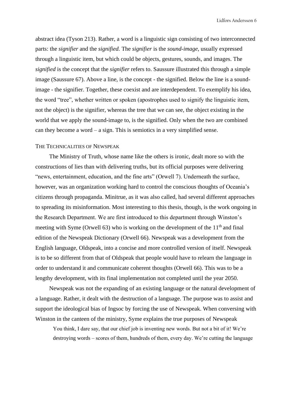abstract idea (Tyson 213). Rather, a word is a linguistic sign consisting of two interconnected parts: the *signifier* and the *signified.* The *signifier* is the *sound-image*, usually expressed through a linguistic item, but which could be objects, gestures, sounds, and images. The *signified* is the concept that the *signifier* refers to. Saussure illustrated this through a simple image (Saussure 67). Above a line, is the concept - the signified. Below the line is a soundimage - the signifier. Together, these coexist and are interdependent. To exemplify his idea, the word "tree", whether written or spoken (apostrophes used to signify the linguistic item, not the object) is the signifier, whereas the tree that we can see, the object existing in the world that we apply the sound-image to, is the signified. Only when the two are combined can they become a word – a sign. This is semiotics in a very simplified sense.

# <span id="page-8-0"></span>THE TECHNICALITIES OF NEWSPEAK

The Ministry of Truth, whose name like the others is ironic, dealt more so with the constructions of lies than with delivering truths, but its official purposes were delivering "news, entertainment, education, and the fine arts" (Orwell 7). Underneath the surface, however, was an organization working hard to control the conscious thoughts of Oceania's citizens through propaganda. Minitrue, as it was also called, had several different approaches to spreading its misinformation. Most interesting to this thesis, though, is the work ongoing in the Research Department. We are first introduced to this department through Winston's meeting with Syme (Orwell 63) who is working on the development of the  $11<sup>th</sup>$  and final edition of the Newspeak Dictionary (Orwell 66). Newspeak was a development from the English language, Oldspeak, into a concise and more controlled version of itself. Newspeak is to be so different from that of Oldspeak that people would have to relearn the language in order to understand it and communicate coherent thoughts (Orwell 66). This was to be a lengthy development, with its final implementation not completed until the year 2050.

Newspeak was not the expanding of an existing language or the natural development of a language. Rather, it dealt with the destruction of a language. The purpose was to assist and support the ideological bias of Ingsoc by forcing the use of Newspeak. When conversing with Winston in the canteen of the ministry, Syme explains the true purposes of Newspeak

You think, I dare say, that our chief job is inventing new words. But not a bit of it! We're destroying words – scores of them, hundreds of them, every day. We're cutting the language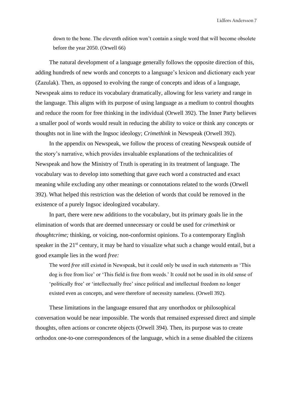down to the bone. The eleventh edition won't contain a single word that will become obsolete before the year 2050. (Orwell 66)

The natural development of a language generally follows the opposite direction of this, adding hundreds of new words and concepts to a language's lexicon and dictionary each year (Zazulak). Then, as opposed to evolving the range of concepts and ideas of a language, Newspeak aims to reduce its vocabulary dramatically, allowing for less variety and range in the language. This aligns with its purpose of using language as a medium to control thoughts and reduce the room for free thinking in the individual (Orwell 392). The Inner Party believes a smaller pool of words would result in reducing the ability to voice or think any concepts or thoughts not in line with the Ingsoc ideology; *Crimethink* in Newspeak (Orwell 392).

In the appendix on Newspeak, we follow the process of creating Newspeak outside of the story's narrative, which provides invaluable explanations of the technicalities of Newspeak and how the Ministry of Truth is operating in its treatment of language. The vocabulary was to develop into something that gave each word a constructed and exact meaning while excluding any other meanings or connotations related to the words (Orwell 392). What helped this restriction was the deletion of words that could be removed in the existence of a purely Ingsoc ideologized vocabulary.

In part, there were new additions to the vocabulary, but its primary goals lie in the elimination of words that are deemed unnecessary or could be used for *crimethink* or *thoughtcrime;* thinking, or voicing, non-conformist opinions. To a contemporary English speaker in the  $21<sup>st</sup>$  century, it may be hard to visualize what such a change would entail, but a good example lies in the word *free:* 

The word *free* still existed in Newspeak, but it could only be used in such statements as 'This dog is free from lice' or 'This field is free from weeds.' It could not be used in its old sense of 'politically free' or 'intellectually free' since political and intellectual freedom no longer existed even as concepts, and were therefore of necessity nameless. (Orwell 392).

These limitations in the language ensured that any unorthodox or philosophical conversation would be near impossible. The words that remained expressed direct and simple thoughts, often actions or concrete objects (Orwell 394). Then, its purpose was to create orthodox one-to-one correspondences of the language, which in a sense disabled the citizens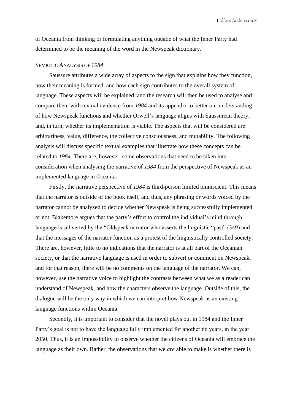of Oceania from thinking or formulating anything outside of what the Inner Party had determined to be the meaning of the word in the Newspeak dictionary.

# <span id="page-10-0"></span>SEMIOTIC ANALYSIS OF *1984*

Saussure attributes a wide array of aspects to the sign that explains how they function, how their meaning is formed, and how each sign contributes to the overall system of language. These aspects will be explained, and the research will then be used to analyse and compare them with textual evidence from *1984* and its appendix to better our understanding of how Newspeak functions and whether Orwell's language aligns with Saussurean theory, and, in turn, whether its implementation is viable. The aspects that will be considered are arbitrariness, value, difference, the collective consciousness, and mutability. The following analysis will discuss specific textual examples that illustrate how these concepts can be related to *1984.* There are, however, some observations that need to be taken into consideration when analysing the narrative of *1984* from the perspective of Newspeak as an implemented language in Oceania.

Firstly, the narrative perspective of *1984* is third-person limited omniscient. This means that the narrator is outside of the book itself, and thus, any phrasing or words voiced by the narrator cannot be analyzed to decide whether Newspeak is being successfully implemented or not. Blakemore argues that the party's effort to control the individual's mind through language is subverted by the "Oldspeak narrator who asserts the linguistic "past" (349) and that the messages of the narrator function as a protest of the linguistically controlled society. There are, however, little to no indications that the narrator is at all part of the Oceanian society, or that the narrative language is used in order to subvert or comment on Newspeak, and for that reason, there will be no comments on the language of the narrator. We can, however, use the narrative voice to highlight the contrasts between what we as a reader can understand of Newspeak, and how the characters observe the language. Outside of this, the dialogue will be the only way in which we can interpret how Newspeak as an existing language functions within Oceania.

Secondly, it is important to consider that the novel plays out in 1984 and the Inner Party's goal is not to have the language fully implemented for another 66 years, in the year 2050. Thus, it is an impossibility to observe whether the citizens of Oceania will embrace the language as their own. Rather, the observations that we *are* able to make is whether there is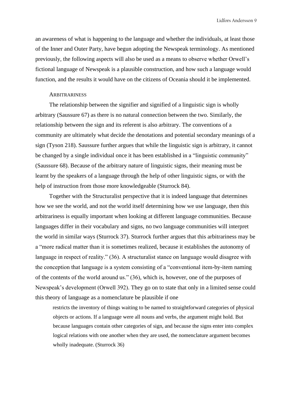an awareness of what is happening to the language and whether the individuals, at least those of the Inner and Outer Party, have begun adopting the Newspeak terminology. As mentioned previously, the following aspects will also be used as a means to observe whether Orwell's fictional language of Newspeak is a plausible construction, and how such a language would function, and the results it would have on the citizens of Oceania should it be implemented.

# <span id="page-11-0"></span>**ARBITRARINESS**

The relationship between the signifier and signified of a linguistic sign is wholly arbitrary (Saussure 67) as there is no natural connection between the two. Similarly, the relationship between the sign and its referent is also arbitrary. The conventions of a community are ultimately what decide the denotations and potential secondary meanings of a sign (Tyson 218). Saussure further argues that while the linguistic sign is arbitrary, it cannot be changed by a single individual once it has been established in a "linguistic community" (Saussure 68). Because of the arbitrary nature of linguistic signs, their meaning must be learnt by the speakers of a language through the help of other linguistic signs, or with the help of instruction from those more knowledgeable (Sturrock 84).

Together with the Structuralist perspective that it is indeed language that determines how we see the world, and not the world itself determining how we use language, then this arbitrariness is equally important when looking at different language communities. Because languages differ in their vocabulary and signs, no two language communities will interpret the world in similar ways (Sturrock 37). Sturrock further argues that this arbitrariness may be a "more radical matter than it is sometimes realized, because it establishes the autonomy of language in respect of reality." (36). A structuralist stance on language would disagree with the conception that language is a system consisting of a "conventional item-by-item naming of the contents of the world around us." (36), which is, however, one of the purposes of Newspeak's development (Orwell 392). They go on to state that only in a limited sense could this theory of language as a nomenclature be plausible if one

restricts the inventory of things waiting to be named to straightforward categories of physical objects or actions. If a language were all nouns and verbs, the argument might hold. But because languages contain other categories of sign, and because the signs enter into complex logical relations with one another when they are used, the nomenclature argument becomes wholly inadequate. (Sturrock 36)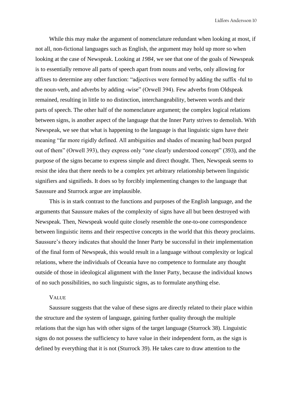While this may make the argument of nomenclature redundant when looking at most, if not all, non-fictional languages such as English, the argument may hold up more so when looking at the case of Newspeak. Looking at *1984*, we see that one of the goals of Newspeak is to essentially remove all parts of speech apart from nouns and verbs, only allowing for affixes to determine any other function: "adjectives were formed by adding the suffix -ful to the noun-verb, and adverbs by adding -wise" (Orwell 394). Few adverbs from Oldspeak remained, resulting in little to no distinction, interchangeability, between words and their parts of speech. The other half of the nomenclature argument; the complex logical relations between signs, is another aspect of the language that the Inner Party strives to demolish. With Newspeak, we see that what is happening to the language is that linguistic signs have their meaning "far more rigidly defined. All ambiguities and shades of meaning had been purged out of them" (Orwell 393), they express only "*one* clearly understood concept" (393), and the purpose of the signs became to express simple and direct thought. Then, Newspeak seems to resist the idea that there needs to be a complex yet arbitrary relationship between linguistic signifiers and signifieds. It does so by forcibly implementing changes to the language that Saussure and Sturrock argue are implausible.

This is in stark contrast to the functions and purposes of the English language, and the arguments that Saussure makes of the complexity of signs have all but been destroyed with Newspeak. Then, Newspeak would quite closely resemble the one-to-one correspondence between linguistic items and their respective concepts in the world that this theory proclaims. Saussure's theory indicates that should the Inner Party be successful in their implementation of the final form of Newspeak, this would result in a language without complexity or logical relations, where the individuals of Oceania have no competence to formulate any thought outside of those in ideological alignment with the Inner Party, because the individual knows of no such possibilities, no such linguistic signs, as to formulate anything else.

# <span id="page-12-0"></span>VALUE

Saussure suggests that the value of these signs are directly related to their place within the structure and the system of language, gaining further quality through the multiple relations that the sign has with other signs of the target language (Sturrock 38). Linguistic signs do not possess the sufficiency to have value in their independent form, as the sign is defined by everything that it is not (Sturrock 39). He takes care to draw attention to the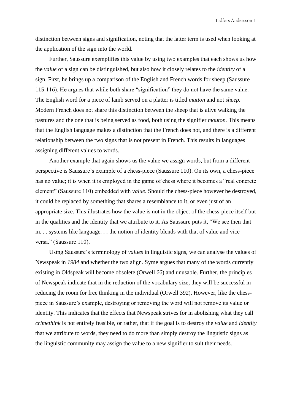distinction between signs and signification, noting that the latter term is used when looking at the application of the sign into the world.

Further, Saussure exemplifies this value by using two examples that each shows us how the *value* of a sign can be distinguished, but also how it closely relates to the *identity* of a sign. First, he brings up a comparison of the English and French words for sheep (Saussure 115-116). He argues that while both share "signification" they do not have the same value. The English word for a piece of lamb served on a platter is titled *mutton* and not *sheep.*  Modern French does not share this distinction between the sheep that is alive walking the pastures and the one that is being served as food, both using the signifier *mouton.* This means that the English language makes a distinction that the French does not, and there is a different relationship between the two signs that is not present in French. This results in languages assigning different values to words.

Another example that again shows us the value we assign words, but from a different perspective is Saussure's example of a chess-piece (Saussure 110). On its own, a chess-piece has no value; it is when it is employed in the game of chess where it becomes a "real concrete element" (Saussure 110) embedded with *value*. Should the chess-piece however be destroyed, it could be replaced by something that shares a resemblance to it, or even just of an appropriate size. This illustrates how the value is not in the object of the chess-piece itself but in the qualities and the identity that we attribute to it. As Saussure puts it, "We see then that in. . . systems like language. . . the notion of identity blends with that of value and vice versa." (Saussure 110).

Using Saussure's terminology of *values* in linguistic signs, we can analyse the values of Newspeak in *1984* and whether the two align. Syme argues that many of the words currently existing in Oldspeak will become obsolete (Orwell 66) and unusable. Further, the principles of Newspeak indicate that in the reduction of the vocabulary size, they will be successful in reducing the room for free thinking in the individual (Orwell 392). However, like the chesspiece in Saussure's example, destroying or removing the word will not remove its value or identity. This indicates that the effects that Newspeak strives for in abolishing what they call *crimethink* is not entirely feasible, or rather, that if the goal is to destroy the *value* and *identity*  that we attribute to words, they need to do more than simply destroy the linguistic signs as the linguistic community may assign the value to a new signifier to suit their needs.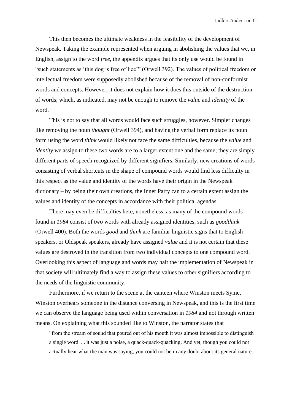This then becomes the ultimate weakness in the feasibility of the development of Newspeak. Taking the example represented when arguing in abolishing the values that we, in English, assign to the word *free*, the appendix argues that its only use would be found in "such statements as 'this dog is free of lice'" (Orwell 392). The values of political freedom or intellectual freedom were supposedly abolished because of the removal of non-conformist words and concepts. However, it does not explain how it does this outside of the destruction of words; which, as indicated, may not be enough to remove the *value* and *identity* of the word.

This is not to say that all words would face such struggles, however. Simpler changes like removing the noun *thought* (Orwell 394), and having the verbal form replace its noun form using the word *think* would likely not face the same difficulties, because the *value* and *identity* we assign to these two words are to a larger extent one and the same; they are simply different parts of speech recognized by different signifiers. Similarly, new creations of words consisting of verbal shortcuts in the shape of compound words would find less difficulty in this respect as the value and identity of the words have their origin in the Newspeak dictionary – by being their own creations, the Inner Party can to a certain extent assign the values and identity of the concepts in accordance with their political agendas.

There may even be difficulties here, nonetheless, as many of the compound words found in *1984* consist of two words with already assigned identities, such as *goodthink*  (Orwell 400). Both the words *good* and *think* are familiar linguistic signs that to English speakers, or Oldspeak speakers, already have assigned *value* and it is not certain that these values are destroyed in the transition from two individual concepts to one compound word. Overlooking this aspect of language and words may halt the implementation of Newspeak in that society will ultimately find a way to assign these values to other signifiers according to the needs of the linguistic community.

Furthermore, if we return to the scene at the canteen where Winston meets Syme, Winston overhears someone in the distance conversing in Newspeak, and this is the first time we can observe the language being used within conversation in *1984* and not through written means. On explaining what this sounded like to Winston, the narrator states that

"from the stream of sound that poured out of his mouth it was almost impossible to distinguish a single word. . . it was just a noise, a quack-quack-quacking. And yet, though you could not actually hear what the man was saying, you could not be in any doubt about its general nature. .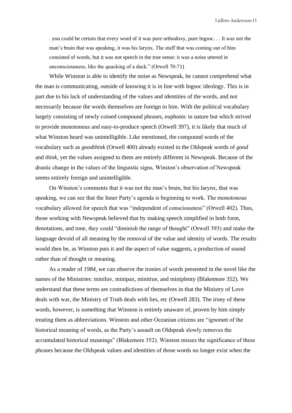. you could be certain that every word of it was pure orthodoxy, pure Ingsoc. . . It was not the man's brain that was speaking, it was his larynx. The stuff that was coming out of him consisted of words, but it was not speech in the true sense: it was a noise uttered in unconsciousness, like the quacking of a duck." (Orwell 70-71)

While Winston is able to identify the noise as Newspeak, he cannot comprehend what the man is communicating, outside of knowing it is in line with Ingsoc ideology. This is in part due to his lack of understanding of the values and identities of the words, and not necessarily because the words themselves are foreign to him. With the political vocabulary largely consisting of newly coined compound phrases, euphonic in nature but which strived to provide monotonous and easy-to-produce speech (Orwell 397), it is likely that much of what Winston heard was unintelligible. Like mentioned, the compound words of the vocabulary such as *goodthink* (Orwell 400) already existed in the Oldspeak words of *good* and *think,* yet the values assigned to them are entirely different in Newspeak. Because of the drastic change in the values of the linguistic signs, Winston's observation of Newspeak seems entirely foreign and unintelligible.

On Winston's comments that it was not the man's brain, but his larynx, that was speaking, we can see that the Inner Party's agenda is beginning to work. The monotonous vocabulary allowed for speech that was "independent of consciousness" (Orwell 402). Thus, those working with Newspeak believed that by making speech simplified in both form, denotations, and tone, they could "diminish the range of thought" (Orwell 393) and make the language devoid of all meaning by the removal of the value and identity of words. The results would then be, as Winston puts it and the aspect of value suggests, a production of sound rather than of thought or meaning.

As a reader of *1984*, we can observe the ironies of words presented in the novel like the names of the Ministries: miniluv, minipax, minitrue, and miniplenty (Blakemore 352). We understand that these terms are contradictions of themselves in that the Ministry of Love deals with war, the Ministry of Truth deals with lies, etc (Orwell 283). The irony of these words, however, is something that Winston is entirely unaware of, proven by him simply treating them as abbreviations. Winston and other Oceanian citizens are "ignorant of the historical meaning of words, as the Party's assault on Oldspeak slowly removes the accumulated historical meanings" (Blakemore 352). Winston misses the significance of these phrases because the Oldspeak values and identities of those words no longer exist when the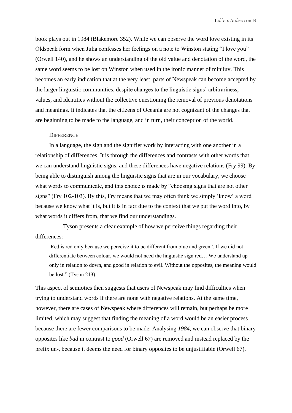book plays out in 1984 (Blakemore 352). While we can observe the word love existing in its Oldspeak form when Julia confesses her feelings on a note to Winston stating "I love you" (Orwell 140), and he shows an understanding of the old value and denotation of the word, the same word seems to be lost on Winston when used in the ironic manner of miniluv. This becomes an early indication that at the very least, parts of Newspeak can become accepted by the larger linguistic communities, despite changes to the linguistic signs' arbitrariness, values, and identities without the collective questioning the removal of previous denotations and meanings. It indicates that the citizens of Oceania are not cognizant of the changes that are beginning to be made to the language, and in turn, their conception of the world.

### <span id="page-16-0"></span>**DIFFERENCE**

In a language, the sign and the signifier work by interacting with one another in a relationship of differences. It is through the differences and contrasts with other words that we can understand linguistic signs, and these differences have negative relations (Fry 99). By being able to distinguish among the linguistic signs that are in our vocabulary, we choose what words to communicate, and this choice is made by "choosing signs that are not other signs" (Fry 102-103). By this, Fry means that we may often think we simply 'know' a word because we know what it is, but it is in fact due to the context that we put the word into, by what words it differs from, that we find our understandings.

Tyson presents a clear example of how we perceive things regarding their differences:

Red is red only because we perceive it to be different from blue and green". If we did not differentiate between colour, we would not need the linguistic sign red… We understand up only in relation to down, and good in relation to evil. Without the opposites, the meaning would be lost." (Tyson 213).

This aspect of semiotics then suggests that users of Newspeak may find difficulties when trying to understand words if there are none with negative relations. At the same time, however, there are cases of Newspeak where differences will remain, but perhaps be more limited, which may suggest that finding the meaning of a word would be an easier process because there are fewer comparisons to be made. Analysing *1984,* we can observe that binary opposites like *bad* in contrast to *good* (Orwell 67) are removed and instead replaced by the prefix un-, because it deems the need for binary opposites to be unjustifiable (Orwell 67).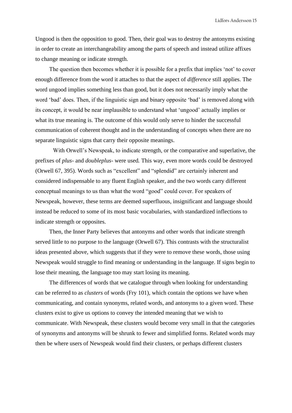Ungood is then the opposition to good. Then, their goal was to destroy the antonyms existing in order to create an interchangeability among the parts of speech and instead utilize affixes to change meaning or indicate strength.

The question then becomes whether it is possible for a prefix that implies 'not' to cover enough difference from the word it attaches to that the aspect of *difference* still applies. The word ungood implies something less than good, but it does not necessarily imply what the word 'bad' does. Then, if the linguistic sign and binary opposite 'bad' is removed along with its concept, it would be near implausible to understand what 'ungood' actually implies or what its true meaning is. The outcome of this would only serve to hinder the successful communication of coherent thought and in the understanding of concepts when there are no separate linguistic signs that carry their opposite meanings.

With Orwell's Newspeak, to indicate strength, or the comparative and superlative, the prefixes of *plus-* and *doubleplus-* were used*.* This way, even more words could be destroyed (Orwell 67, 395). Words such as "excellent" and "splendid" are certainly inherent and considered indispensable to any fluent English speaker, and the two words carry different conceptual meanings to us than what the word "good" could cover. For speakers of Newspeak, however, these terms are deemed superfluous, insignificant and language should instead be reduced to some of its most basic vocabularies, with standardized inflections to indicate strength or opposites.

Then, the Inner Party believes that antonyms and other words that indicate strength served little to no purpose to the language (Orwell 67). This contrasts with the structuralist ideas presented above, which suggests that if they were to remove these words, those using Newspeak would struggle to find meaning or understanding in the language. If signs begin to lose their meaning, the language too may start losing its meaning.

The differences of words that we catalogue through when looking for understanding can be referred to as *clusters* of words (Fry 101), which contain the options we have when communicating, and contain synonyms, related words, and antonyms to a given word. These clusters exist to give us options to convey the intended meaning that we wish to communicate. With Newspeak, these clusters would become very small in that the categories of synonyms and antonyms will be shrunk to fewer and simplified forms. Related words may then be where users of Newspeak would find their clusters, or perhaps different clusters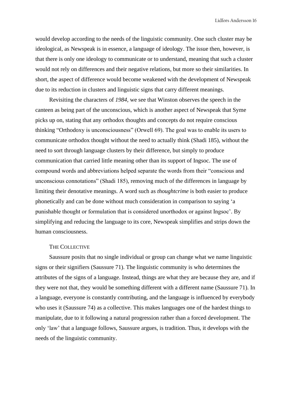would develop according to the needs of the linguistic community. One such cluster may be ideological, as Newspeak is in essence, a language of ideology. The issue then, however, is that there is only one ideology to communicate or to understand, meaning that such a cluster would not rely on differences and their negative relations, but more so their similarities. In short, the aspect of difference would become weakened with the development of Newspeak due to its reduction in clusters and linguistic signs that carry different meanings.

Revisiting the characters of *1984,* we see that Winston observes the speech in the canteen as being part of the unconscious, which is another aspect of Newspeak that Syme picks up on, stating that any orthodox thoughts and concepts do not require conscious thinking "Orthodoxy is unconsciousness" (Orwell 69). The goal was to enable its users to communicate orthodox thought without the need to actually think (Shadi 185), without the need to sort through language clusters by their difference, but simply to produce communication that carried little meaning other than its support of Ingsoc. The use of compound words and abbreviations helped separate the words from their "conscious and unconscious connotations" (Shadi 185), removing much of the differences in language by limiting their denotative meanings. A word such as *thoughtcrime* is both easier to produce phonetically and can be done without much consideration in comparison to saying 'a punishable thought or formulation that is considered unorthodox or against Ingsoc'. By simplifying and reducing the language to its core, Newspeak simplifies and strips down the human consciousness.

# <span id="page-18-0"></span>THE COLLECTIVE

Saussure posits that no single individual or group can change what we name linguistic signs or their signifiers (Saussure 71). The linguistic community is who determines the attributes of the signs of a language. Instead, things are what they are because they are, and if they were not that, they would be something different with a different name (Saussure 71). In a language, everyone is constantly contributing, and the language is influenced by everybody who uses it (Saussure 74) as a collective. This makes languages one of the hardest things to manipulate, due to it following a natural progression rather than a forced development. The only 'law' that a language follows, Saussure argues, is tradition. Thus, it develops with the needs of the linguistic community.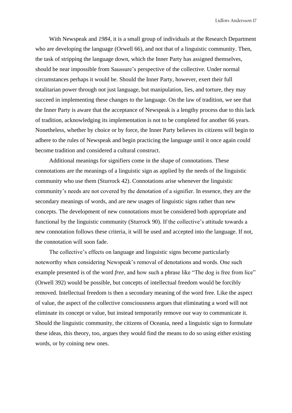With Newspeak and *1984*, it is a small group of individuals at the Research Department who are developing the language (Orwell 66), and not that of a linguistic community. Then, the task of stripping the language down, which the Inner Party has assigned themselves, should be near impossible from Saussure's perspective of the collective. Under normal circumstances perhaps it would be. Should the Inner Party, however, exert their full totalitarian power through not just language, but manipulation, lies, and torture, they may succeed in implementing these changes to the language. On the law of tradition, we see that the Inner Party is aware that the acceptance of Newspeak is a lengthy process due to this lack of tradition, acknowledging its implementation is not to be completed for another 66 years. Nonetheless, whether by choice or by force, the Inner Party believes its citizens will begin to adhere to the rules of Newspeak and begin practicing the language until it once again could become tradition and considered a cultural construct.

Additional meanings for signifiers come in the shape of connotations. These connotations are the meanings of a linguistic sign as applied by the needs of the linguistic community who use them (Sturrock 42). Connotations arise whenever the linguistic community's needs are not covered by the denotation of a signifier. In essence, they are the secondary meanings of words, and are new usages of linguistic signs rather than new concepts. The development of new connotations must be considered both appropriate and functional by the linguistic community (Sturrock 90). If the collective's attitude towards a new connotation follows these criteria, it will be used and accepted into the language. If not, the connotation will soon fade.

The collective's effects on language and linguistic signs become particularly noteworthy when considering Newspeak's removal of denotations and words. One such example presented is of the word *free*, and how such a phrase like "The dog is free from lice" (Orwell 392) would be possible, but concepts of intellectual freedom would be forcibly removed. Intellectual freedom is then a secondary meaning of the word free. Like the aspect of value, the aspect of the collective consciousness argues that eliminating a word will not eliminate its concept or value, but instead temporarily remove our way to communicate it. Should the linguistic community, the citizens of Oceania, need a linguistic sign to formulate these ideas, this theory, too, argues they would find the means to do so using either existing words, or by coining new ones.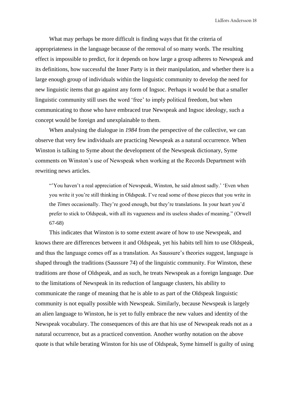What may perhaps be more difficult is finding ways that fit the criteria of appropriateness in the language because of the removal of so many words. The resulting effect is impossible to predict, for it depends on how large a group adheres to Newspeak and its definitions, how successful the Inner Party is in their manipulation, and whether there is a large enough group of individuals within the linguistic community to develop the need for new linguistic items that go against any form of Ingsoc. Perhaps it would be that a smaller linguistic community still uses the word 'free' to imply political freedom, but when communicating to those who have embraced true Newspeak and Ingsoc ideology, such a concept would be foreign and unexplainable to them.

When analysing the dialogue in *1984* from the perspective of the collective, we can observe that very few individuals are practicing Newspeak as a natural occurrence. When Winston is talking to Syme about the development of the Newspeak dictionary, Syme comments on Winston's use of Newspeak when working at the Records Department with rewriting news articles.

"You haven't a real appreciation of Newspeak, Winston, he said almost sadly.' 'Even when you write it you're still thinking in Oldspeak. I've read some of those pieces that you write in the *Times* occasionally. They're good enough, but they're translations. In your heart you'd prefer to stick to Oldspeak, with all its vagueness and its useless shades of meaning." (Orwell 67-68)

This indicates that Winston is to some extent aware of how to use Newspeak, and knows there are differences between it and Oldspeak, yet his habits tell him to use Oldspeak, and thus the language comes off as a translation. As Saussure's theories suggest, language is shaped through the traditions (Saussure 74) of the linguistic community. For Winston, these traditions are those of Oldspeak, and as such, he treats Newspeak as a foreign language. Due to the limitations of Newspeak in its reduction of language clusters, his ability to communicate the range of meaning that he is able to as part of the Oldspeak linguistic community is not equally possible with Newspeak. Similarly, because Newspeak is largely an alien language to Winston, he is yet to fully embrace the new values and identity of the Newspeak vocabulary. The consequences of this are that his use of Newspeak reads not as a natural occurrence, but as a practiced convention. Another worthy notation on the above quote is that while berating Winston for his use of Oldspeak, Syme himself is guilty of using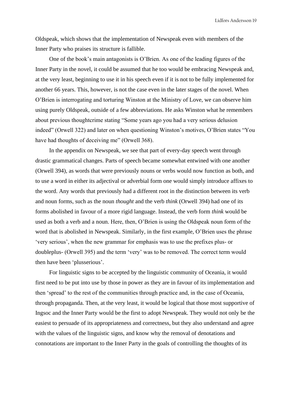Oldspeak, which shows that the implementation of Newspeak even with members of the Inner Party who praises its structure is fallible.

One of the book's main antagonists is O'Brien. As one of the leading figures of the Inner Party in the novel, it could be assumed that he too would be embracing Newspeak and, at the very least, beginning to use it in his speech even if it is not to be fully implemented for another 66 years. This, however, is not the case even in the later stages of the novel. When O'Brien is interrogating and torturing Winston at the Ministry of Love, we can observe him using purely Oldspeak, outside of a few abbreviations. He asks Winston what he remembers about previous thoughtcrime stating "Some years ago you had a very serious delusion indeed" (Orwell 322) and later on when questioning Winston's motives, O'Brien states "You have had thoughts of deceiving me" (Orwell 368).

In the appendix on Newspeak, we see that part of every-day speech went through drastic grammatical changes. Parts of speech became somewhat entwined with one another (Orwell 394), as words that were previously nouns or verbs would now function as both, and to use a word in either its adjectival or adverbial form one would simply introduce affixes to the word. Any words that previously had a different root in the distinction between its verb and noun forms, such as the noun *thought* and the verb *think* (Orwell 394) had one of its forms abolished in favour of a more rigid language. Instead, the verb form *think* would be used as both a verb and a noun. Here, then, O'Brien is using the Oldspeak noun form of the word that is abolished in Newspeak. Similarly, in the first example, O'Brien uses the phrase 'very serious', when the new grammar for emphasis was to use the prefixes plus- or doubleplus- (Orwell 395) and the term 'very' was to be removed. The correct term would then have been 'plusserious'.

For linguistic signs to be accepted by the linguistic community of Oceania, it would first need to be put into use by those in power as they are in favour of its implementation and then 'spread' to the rest of the communities through practice and, in the case of Oceania, through propaganda. Then, at the very least, it would be logical that those most supportive of Ingsoc and the Inner Party would be the first to adopt Newspeak. They would not only be the easiest to persuade of its appropriateness and correctness, but they also understand and agree with the values of the linguistic signs, and know why the removal of denotations and connotations are important to the Inner Party in the goals of controlling the thoughts of its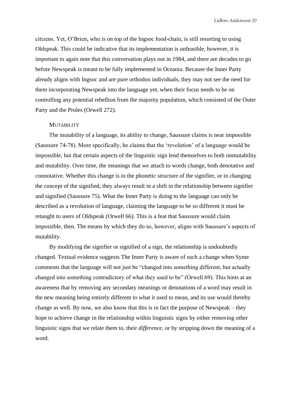citizens. Yet, O'Brien, who is on top of the Ingsoc food-chain, is still resorting to using Oldspeak. This could be indicative that its implementation is unfeasible, however, it is important to again note that this conversation plays out in 1984, and there are decades to go before Newspeak is meant to be fully implemented in Oceania. Because the Inner Party already aligns with Ingsoc and are pure orthodox individuals, they may not see the need for them incorporating Newspeak into the language yet, when their focus needs to be on controlling any potential rebellion from the majority population, which consisted of the Outer Party and the Proles (Orwell 272).

#### <span id="page-22-0"></span>**MUTABILITY**

The mutability of a language, its ability to change, Saussure claims is near impossible (Saussure 74-78). More specifically, he claims that the 'revolution' of a language would be impossible, but that certain aspects of the linguistic sign lend themselves to both immutability and mutability. Over time, the meanings that we attach to words change, both denotative and connotative. Whether this change is in the phonetic structure of the signifier, or in changing the concept of the signified, they always result in a shift in the relationship between signifier and signified (Saussure 75). What the Inner Party is doing to the language can only be described as a revolution of language, claiming the language to be so different it must be retaught to users of Oldspeak (Orwell 66). This is a feat that Saussure would claim impossible, then. The means by which they do so, however, aligns with Saussure's aspects of mutability.

By modifying the signifier or signified of a sign, the relationship is undoubtedly changed. Textual evidence suggests The Inner Party is aware of such a change when Syme comments that the language will not just be "changed into something different, but actually changed into something contradictory of what they used to be" (Orwell 69). This hints at an awareness that by removing any secondary meanings or denotations of a word may result in the new meaning being entirely different to what it used to mean, and its use would thereby change as well. By now, we also know that this is in fact the purpose of Newspeak – they hope to achieve change in the relationship within linguistic signs by either removing other linguistic signs that we relate them to, their *difference*, or by stripping down the meaning of a word.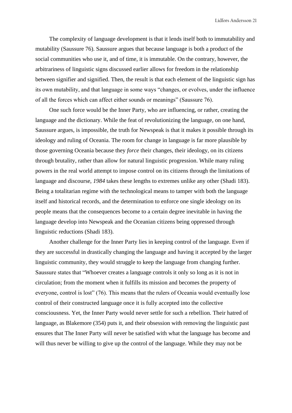The complexity of language development is that it lends itself both to immutability and mutability (Saussure 76). Saussure argues that because language is both a product of the social communities who use it, and of time, it is immutable. On the contrary, however, the arbitrariness of linguistic signs discussed earlier allows for freedom in the relationship between signifier and signified. Then, the result is that each element of the linguistic sign has its own mutability, and that language in some ways "changes, or evolves, under the influence of all the forces which can affect either sounds or meanings" (Saussure 76).

One such force would be the Inner Party, who are influencing, or rather, creating the language and the dictionary. While the feat of revolutionizing the language, on one hand, Saussure argues, is impossible, the truth for Newspeak is that it makes it possible through its ideology and ruling of Oceania. The room for change in language is far more plausible by those governing Oceania because they *force* their changes, their ideology, on its citizens through brutality, rather than allow for natural linguistic progression. While many ruling powers in the real world attempt to impose control on its citizens through the limitations of language and discourse, *1984* takes these lengths to extremes unlike any other (Shadi 183). Being a totalitarian regime with the technological means to tamper with both the language itself and historical records, and the determination to enforce one single ideology on its people means that the consequences become to a certain degree inevitable in having the language develop into Newspeak and the Oceanian citizens being oppressed through linguistic reductions (Shadi 183).

Another challenge for the Inner Party lies in keeping control of the language. Even if they are successful in drastically changing the language and having it accepted by the larger linguistic community, they would struggle to keep the language from changing further. Saussure states that "Whoever creates a language controls it only so long as it is not in circulation; from the moment when it fulfills its mission and becomes the property of everyone, control is lost" (76). This means that the rulers of Oceania would eventually lose control of their constructed language once it is fully accepted into the collective consciousness. Yet, the Inner Party would never settle for such a rebellion. Their hatred of language, as Blakemore (354) puts it, and their obsession with removing the linguistic past ensures that The Inner Party will never be satisfied with what the language has become and will thus never be willing to give up the control of the language. While they may not be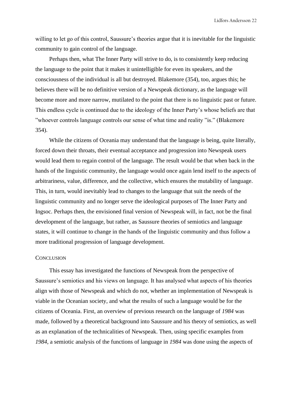willing to let go of this control, Saussure's theories argue that it is inevitable for the linguistic community to gain control of the language.

Perhaps then, what The Inner Party will strive to do, is to consistently keep reducing the language to the point that it makes it unintelligible for even its speakers, and the consciousness of the individual is all but destroyed. Blakemore (354), too, argues this; he believes there will be no definitive version of a Newspeak dictionary, as the language will become more and more narrow, mutilated to the point that there is no linguistic past or future. This endless cycle is continued due to the ideology of the Inner Party's whose beliefs are that "whoever controls language controls our sense of what time and reality "is." (Blakemore 354).

While the citizens of Oceania may understand that the language is being, quite literally, forced down their throats, their eventual acceptance and progression into Newspeak users would lead them to regain control of the language. The result would be that when back in the hands of the linguistic community, the language would once again lend itself to the aspects of arbitrariness, value, difference, and the collective, which ensures the mutability of language. This, in turn, would inevitably lead to changes to the language that suit the needs of the linguistic community and no longer serve the ideological purposes of The Inner Party and Ingsoc. Perhaps then, the envisioned final version of Newspeak will, in fact, not be the final development of the language, but rather, as Saussure theories of semiotics and language states, it will continue to change in the hands of the linguistic community and thus follow a more traditional progression of language development.

# <span id="page-24-0"></span>**CONCLUSION**

This essay has investigated the functions of Newspeak from the perspective of Saussure's semiotics and his views on language. It has analysed what aspects of his theories align with those of Newspeak and which do not, whether an implementation of Newspeak is viable in the Oceanian society, and what the results of such a language would be for the citizens of Oceania. First, an overview of previous research on the language of *1984* was made, followed by a theoretical background into Saussure and his theory of semiotics, as well as an explanation of the technicalities of Newspeak. Then, using specific examples from *1984*, a semiotic analysis of the functions of language in *1984* was done using the aspects of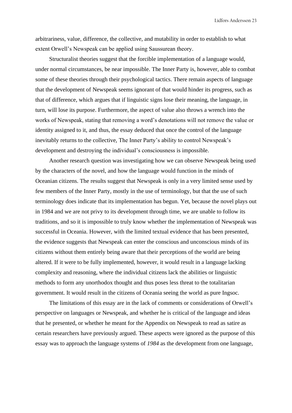arbitrariness, value, difference, the collective, and mutability in order to establish to what extent Orwell's Newspeak can be applied using Saussurean theory.

Structuralist theories suggest that the forcible implementation of a language would, under normal circumstances, be near impossible. The Inner Party is, however, able to combat some of these theories through their psychological tactics. There remain aspects of language that the development of Newspeak seems ignorant of that would hinder its progress, such as that of difference, which argues that if linguistic signs lose their meaning, the language, in turn, will lose its purpose. Furthermore, the aspect of value also throws a wrench into the works of Newspeak, stating that removing a word's denotations will not remove the value or identity assigned to it, and thus, the essay deduced that once the control of the language inevitably returns to the collective, The Inner Party's ability to control Newspeak's development and destroying the individual's consciousness is impossible.

Another research question was investigating how we can observe Newspeak being used by the characters of the novel, and how the language would function in the minds of Oceanian citizens. The results suggest that Newspeak is only in a very limited sense used by few members of the Inner Party, mostly in the use of terminology, but that the use of such terminology does indicate that its implementation has begun. Yet, because the novel plays out in 1984 and we are not privy to its development through time, we are unable to follow its traditions, and so it is impossible to truly know whether the implementation of Newspeak was successful in Oceania. However, with the limited textual evidence that has been presented, the evidence suggests that Newspeak can enter the conscious and unconscious minds of its citizens without them entirely being aware that their perceptions of the world are being altered. If it were to be fully implemented, however, it would result in a language lacking complexity and reasoning, where the individual citizens lack the abilities or linguistic methods to form any unorthodox thought and thus poses less threat to the totalitarian government. It would result in the citizens of Oceania seeing the world as pure Ingsoc.

The limitations of this essay are in the lack of comments or considerations of Orwell's perspective on languages or Newspeak, and whether he is critical of the language and ideas that he presented, or whether he meant for the Appendix on Newspeak to read as satire as certain researchers have previously argued. These aspects were ignored as the purpose of this essay was to approach the language systems of *1984* as the development from one language,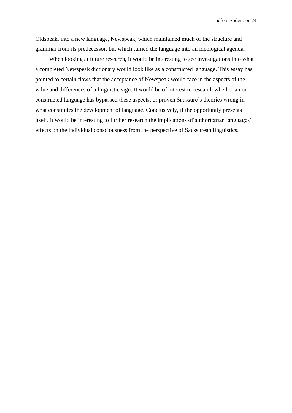Oldspeak, into a new language, Newspeak, which maintained much of the structure and grammar from its predecessor, but which turned the language into an ideological agenda.

When looking at future research, it would be interesting to see investigations into what a completed Newspeak dictionary would look like as a constructed language. This essay has pointed to certain flaws that the acceptance of Newspeak would face in the aspects of the value and differences of a linguistic sign. It would be of interest to research whether a nonconstructed language has bypassed these aspects, or proven Saussure's theories wrong in what constitutes the development of language. Conclusively, if the opportunity presents itself, it would be interesting to further research the implications of authoritarian languages' effects on the individual consciousness from the perspective of Saussurean linguistics.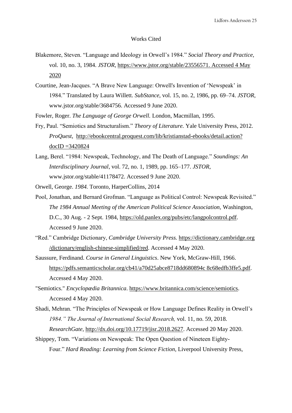### Works Cited

- <span id="page-27-0"></span>Blakemore, Steven. "Language and Ideology in Orwell's 1984." *Social Theory and Practice,*  vol. 10, no. 3, 1984. *JSTOR[,](https://www.jstor.org/stable/23556571)* [https://www.jstor.org/stable/23556571. Accessed 4 May](https://www.jstor.org/stable/23556571.%20Accessed%204%20May%202020)  [2020](https://www.jstor.org/stable/23556571.%20Accessed%204%20May%202020)
- Courtine, Jean-Jacques. "A Brave New Language: Orwell's Invention of 'Newspeak' in 1984." Translated by Laura Willett. *SubStance*, vol. 15, no. 2, 1986, pp. 69–74. *JSTOR*, www.jstor.org/stable/3684756. Accessed 9 June 2020.
- Fowler, Roger. *The Language of George Orwell.* London, Macmillan, 1995.
- Fry, Paul. "Semiotics and Structuralism." *Theory of Literature.* Yale University Press, 2012. *ProQuest*, [http://ebookcentral.proquest.com/lib/kristianstad-ebooks/detail.action?](http://ebookcentral.proquest.com/lib/kristianstad-ebooks/detail.action?docID=3420824)   $docID = 3420824$
- Lang, Berel. "1984: Newspeak, Technology, and The Death of Language." *Soundings: An Interdisciplinary Journal*, vol. 72, no. 1, 1989, pp. 165–177. *JSTOR*, www.jstor.org/stable/41178472. Accessed 9 June 2020.

Orwell, George. *1984.* Toronto, HarperCollins, 2014

- Pool, Jonathan, and Bernard Grofman. "Language as Political Control: Newspeak Revisited." *The 1984 Annual Meeting of the American Political Science Association,* Washington, D.C., 30 Aug. - 2 Sept. 1984, [https://old.panlex.org/pubs/etc/langpolcontrol.pdf.](https://old.panlex.org/pubs/etc/langpolcontrol.pdf) Accessed 9 June 2020.
- "Red." Cambridge Dictionary, *Cambridge University Press.* [https://dictionary.cambridge.org](https://dictionary.cambridge.org/dictionary/english-chinese-simplified/red)  [/dictionary/english-chinese-simplified/red.](https://dictionary.cambridge.org/dictionary/english-chinese-simplified/red) Accessed 4 May 2020.
- Saussure, Ferdinand. *Course in General Linguistics*. New York, McGraw-Hill, 1966. [https://pdfs.semanticscholar.org/cb41/a70d25abce8718dd680894c 8c68edfb3ffe5.pdf.](https://pdfs.semanticscholar.org/cb41/a70d25abce8718dd680894c8c68edfb3ffe5.pdf) Accessed 4 May 2020.
- "Semiotics." *Encyclopædia Britannica*. [https://www.britannica.com/science/semiotics.](https://www.britannica.com/science/semiotics) Accessed 4 May 2020.
- Shadi, Mehran. "The Principles of Newspeak or How Language Defines Reality in Orwell's *1984." The Journal of International Social Research,* vol. 11, no. 59, 2018. *ResearchGate,* [http://dx.doi.org/10.17719/jisr.2018.2627.](http://dx.doi.org/10.17719/jisr.2018.2627) Accessed 20 May 2020.
- Shippey, Tom. "Variations on Newspeak: The Open Question of Nineteen Eighty-Four." *Hard Reading: Learning from Science Fiction*, Liverpool University Press,